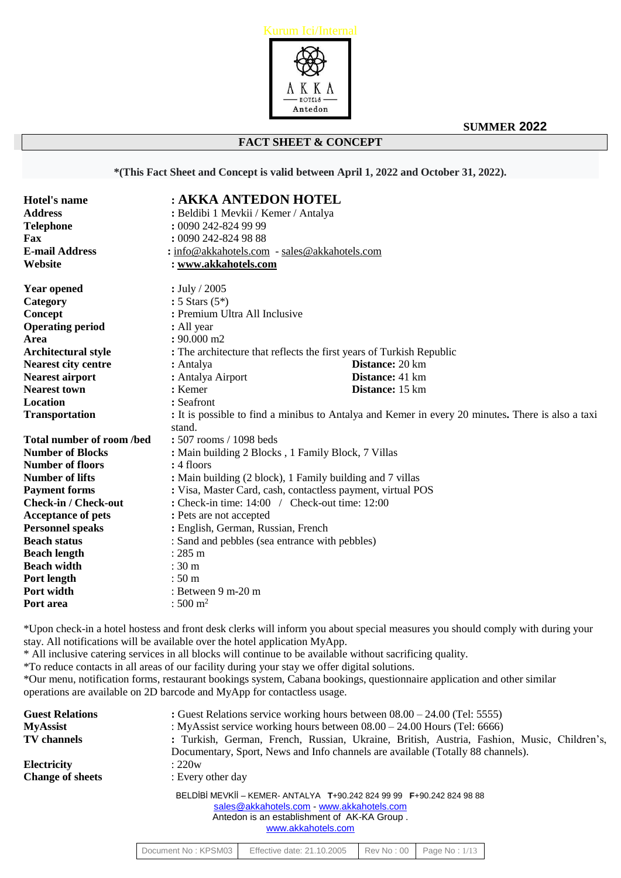

# **FACT SHEET & CONCEPT**

**\*(This Fact Sheet and Concept is valid between April 1, 2022 and October 31, 2022).**

| <b>Hotel's name</b>         | : AKKA ANTEDON HOTEL                                                 |                                                                                                   |  |
|-----------------------------|----------------------------------------------------------------------|---------------------------------------------------------------------------------------------------|--|
| <b>Address</b>              | : Beldibi 1 Mevkii / Kemer / Antalya                                 |                                                                                                   |  |
| <b>Telephone</b>            | : 0090 242-824 99 99                                                 |                                                                                                   |  |
| Fax                         | : 0090 242-824 98 88                                                 |                                                                                                   |  |
| <b>E-mail Address</b>       | : info@akkahotels.com - sales@akkahotels.com                         |                                                                                                   |  |
| Website                     | : www.akkahotels.com                                                 |                                                                                                   |  |
| <b>Year opened</b>          | : July / 2005                                                        |                                                                                                   |  |
| Category                    | : 5 Stars $(5^*)$                                                    |                                                                                                   |  |
| Concept                     | : Premium Ultra All Inclusive                                        |                                                                                                   |  |
| <b>Operating period</b>     | : All year                                                           |                                                                                                   |  |
| Area                        | $: 90.000$ m2                                                        |                                                                                                   |  |
| Architectural style         | : The architecture that reflects the first years of Turkish Republic |                                                                                                   |  |
| <b>Nearest city centre</b>  | : Antalya                                                            | Distance: 20 km                                                                                   |  |
| <b>Nearest airport</b>      | : Antalya Airport                                                    | Distance: 41 km                                                                                   |  |
| <b>Nearest town</b>         | : Kemer                                                              | Distance: 15 km                                                                                   |  |
| Location                    | : Seafront                                                           |                                                                                                   |  |
| <b>Transportation</b>       | stand.                                                               | : It is possible to find a minibus to Antalya and Kemer in every 20 minutes. There is also a taxi |  |
| Total number of room/bed    | : 507 rooms / 1098 beds                                              |                                                                                                   |  |
| <b>Number of Blocks</b>     | : Main building 2 Blocks, 1 Family Block, 7 Villas                   |                                                                                                   |  |
| <b>Number of floors</b>     | : 4 floors                                                           |                                                                                                   |  |
| <b>Number of lifts</b>      | : Main building (2 block), 1 Family building and 7 villas            |                                                                                                   |  |
| <b>Payment forms</b>        | : Visa, Master Card, cash, contactless payment, virtual POS          |                                                                                                   |  |
| <b>Check-in / Check-out</b> | : Check-in time: $14:00$ / Check-out time: $12:00$                   |                                                                                                   |  |
| <b>Acceptance of pets</b>   | : Pets are not accepted                                              |                                                                                                   |  |
| <b>Personnel speaks</b>     | : English, German, Russian, French                                   |                                                                                                   |  |
| <b>Beach status</b>         | : Sand and pebbles (sea entrance with pebbles)                       |                                                                                                   |  |
| <b>Beach length</b>         | $: 285 \; \mathrm{m}$                                                |                                                                                                   |  |
| <b>Beach width</b>          | :30 <sub>m</sub>                                                     |                                                                                                   |  |
| Port length                 | :50 <sub>m</sub>                                                     |                                                                                                   |  |
| Port width                  | : Between 9 m-20 m                                                   |                                                                                                   |  |
| Port area                   | $: 500 \; \mathrm{m}^2$                                              |                                                                                                   |  |

\*Upon check-in a hotel hostess and front desk clerks will inform you about special measures you should comply with during your stay. All notifications will be available over the hotel application MyApp.

\* All inclusive catering services in all blocks will continue to be available without sacrificing quality.

\*To reduce contacts in all areas of our facility during your stay we offer digital solutions.

\*Our menu, notification forms, restaurant bookings system, Cabana bookings, questionnaire application and other similar operations are available on 2D barcode and MyApp for contactless usage.

| <b>Guest Relations</b><br><b>MyAssist</b><br><b>TV</b> channels | : Guest Relations service working hours between $08.00 - 24.00$ (Tel: 5555)<br>: MyAssist service working hours between $08.00 - 24.00$ Hours (Tel: 6666)<br>: Turkish, German, French, Russian, Ukraine, British, Austria, Fashion, Music, Children's,<br>Documentary, Sport, News and Info channels are available (Totally 88 channels). |                            |            |               |  |  |
|-----------------------------------------------------------------|--------------------------------------------------------------------------------------------------------------------------------------------------------------------------------------------------------------------------------------------------------------------------------------------------------------------------------------------|----------------------------|------------|---------------|--|--|
| <b>Electricity</b>                                              | :220w                                                                                                                                                                                                                                                                                                                                      |                            |            |               |  |  |
| <b>Change of sheets</b>                                         | : Every other day                                                                                                                                                                                                                                                                                                                          |                            |            |               |  |  |
|                                                                 | BELDİBİ MEVKİİ – KEMER-ANTALYA T+90.242 824 99 99 F+90.242 824 98 88<br>sales@akkahotels.com - www.akkahotels.com<br>Antedon is an establishment of AK-KA Group.<br>www.akkahotels.com                                                                                                                                                     |                            |            |               |  |  |
|                                                                 | Document No: KPSM03                                                                                                                                                                                                                                                                                                                        | Effective date: 21.10.2005 | Rev No: 00 | Page No: 1/13 |  |  |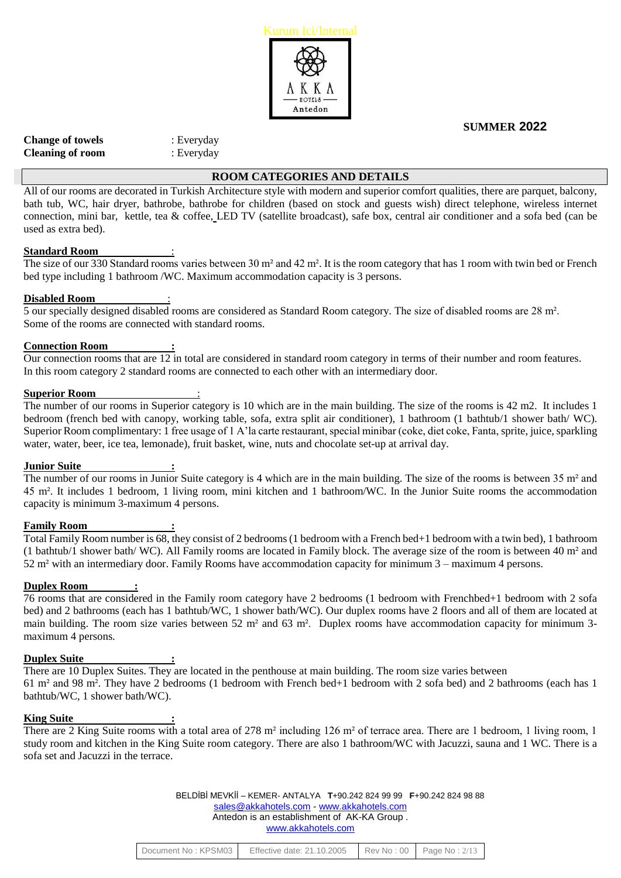

| : Everyday |
|------------|
| : Everyday |
|            |

# **ROOM CATEGORIES AND DETAILS**

All of our rooms are decorated in Turkish Architecture style with modern and superior comfort qualities, there are parquet, balcony, bath tub, WC, hair dryer, bathrobe, bathrobe for children (based on stock and guests wish) direct telephone, wireless internet connection, mini bar, kettle, tea & coffee, LED TV (satellite broadcast), safe box, central air conditioner and a sofa bed (can be used as extra bed).

#### **Standard Room** :

The size of our 330 Standard rooms varies between 30 m<sup>2</sup> and 42 m<sup>2</sup>. It is the room category that has 1 room with twin bed or French bed type including 1 bathroom /WC. Maximum accommodation capacity is 3 persons.

#### **Disabled Room** :

5 our specially designed disabled rooms are considered as Standard Room category. The size of disabled rooms are 28 m². Some of the rooms are connected with standard rooms.

#### **Connection Room :**

Our connection rooms that are 12 in total are considered in standard room category in terms of their number and room features. In this room category 2 standard rooms are connected to each other with an intermediary door.

#### **Superior Room**

The number of our rooms in Superior category is 10 which are in the main building. The size of the rooms is 42 m2. It includes 1 bedroom (french bed with canopy, working table, sofa, extra split air conditioner), 1 bathroom (1 bathtub/1 shower bath/ WC). Superior Room complimentary: 1 free usage of 1 A'la carte restaurant, special minibar (coke, diet coke, Fanta, sprite, juice, sparkling water, water, beer, ice tea, lemonade), fruit basket, wine, nuts and chocolate set-up at arrival day.

#### **Junior Suite :**

The number of our rooms in Junior Suite category is 4 which are in the main building. The size of the rooms is between 35 m<sup>2</sup> and 45 m². It includes 1 bedroom, 1 living room, mini kitchen and 1 bathroom/WC. In the Junior Suite rooms the accommodation capacity is minimum 3-maximum 4 persons.

#### **Family Room :**

Total Family Room number is 68, they consist of 2 bedrooms (1 bedroom with a French bed+1 bedroom with a twin bed), 1 bathroom (1 bathtub/1 shower bath/ WC). All Family rooms are located in Family block. The average size of the room is between 40 m² and 52 m² with an intermediary door. Family Rooms have accommodation capacity for minimum 3 – maximum 4 persons.

#### **Duplex Room :**

76 rooms that are considered in the Family room category have 2 bedrooms (1 bedroom with Frenchbed+1 bedroom with 2 sofa bed) and 2 bathrooms (each has 1 bathtub/WC, 1 shower bath/WC). Our duplex rooms have 2 floors and all of them are located at main building. The room size varies between 52 m<sup>2</sup> and 63 m<sup>2</sup>. Duplex rooms have accommodation capacity for minimum 3maximum 4 persons.

#### **Duplex Suite :**

There are 10 Duplex Suites. They are located in the penthouse at main building. The room size varies between 61 m² and 98 m². They have 2 bedrooms (1 bedroom with French bed+1 bedroom with 2 sofa bed) and 2 bathrooms (each has 1 bathtub/WC, 1 shower bath/WC).

#### **King Suite :**

There are 2 King Suite rooms with a total area of 278 m<sup>2</sup> including 126 m<sup>2</sup> of terrace area. There are 1 bedroom, 1 living room, 1 study room and kitchen in the King Suite room category. There are also 1 bathroom/WC with Jacuzzi, sauna and 1 WC. There is a sofa set and Jacuzzi in the terrace.

| Document No: KPSM03 | Effective date: 21.10.2005 |  | $\text{Rev No : } 00$ Page No: $2/13$ |
|---------------------|----------------------------|--|---------------------------------------|
|---------------------|----------------------------|--|---------------------------------------|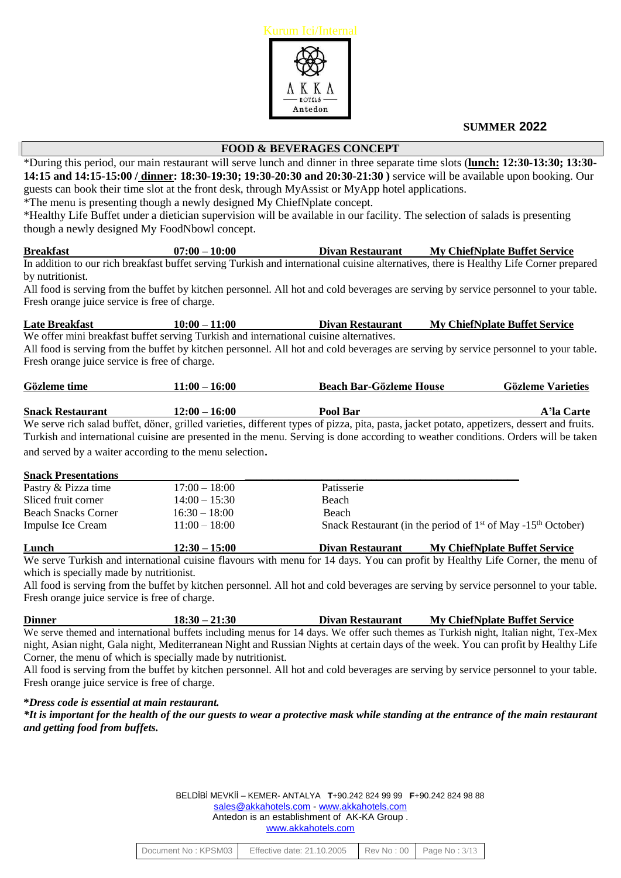

# **FOOD & BEVERAGES CONCEPT**

\*During this period, our main restaurant will serve lunch and dinner in three separate time slots (**lunch: 12:30-13:30; 13:30- 14:15 and 14:15-15:00 / dinner: 18:30-19:30; 19:30-20:30 and 20:30-21:30 )** service will be available upon booking. Our guests can book their time slot at the front desk, through MyAssist or MyApp hotel applications.

\*The menu is presenting though a newly designed My ChiefNplate concept.

\*Healthy Life Buffet under a dietician supervision will be available in our facility. The selection of salads is presenting though a newly designed My FoodNbowl concept.

**Breakfast 07:00 – 10:00 Divan Restaurant My ChiefNplate Buffet Service** In addition to our rich breakfast buffet serving Turkish and international cuisine alternatives, there is Healthy Life Corner prepared by nutritionist.

All food is serving from the buffet by kitchen personnel. All hot and cold beverages are serving by service personnel to your table. Fresh orange juice service is free of charge.

**Late Breakfast 10:00 – 11:00 Divan Restaurant My ChiefNplate Buffet Service** We offer mini breakfast buffet serving Turkish and international cuisine alternatives. All food is serving from the buffet by kitchen personnel. All hot and cold beverages are serving by service personnel to your table. Fresh orange juice service is free of charge.

| Gözleme time            | $11:00 - 16:00$ | <b>Beach Bar-Gözleme House</b> | <b>Gözleme Varieties</b> |
|-------------------------|-----------------|--------------------------------|--------------------------|
|                         |                 |                                |                          |
| <b>Snack Restaurant</b> | $12:00 - 16:00$ | Pool Bar                       | A'la Carte               |

We serve rich salad buffet, döner, grilled varieties, different types of pizza, pita, pasta, jacket potato, appetizers, dessert and fruits. Turkish and international cuisine are presented in the menu. Serving is done according to weather conditions. Orders will be taken and served by a waiter according to the menu selection.

#### **Snack Presentations \_\_\_\_\_\_\_\_\_\_\_\_\_\_\_\_\_\_\_\_\_\_\_\_\_\_\_\_\_\_\_\_\_\_\_\_\_\_\_\_\_\_\_\_\_\_\_\_\_\_**

| Lunch                      | $12:30 - 15:00$ | Divan Restaurant | <b>My ChiefNplate Buffet Service</b>                                       |
|----------------------------|-----------------|------------------|----------------------------------------------------------------------------|
| Impulse Ice Cream          | $11:00 - 18:00$ |                  | Snack Restaurant (in the period of $1st$ of May -15 <sup>th</sup> October) |
| <b>Beach Snacks Corner</b> | $16:30 - 18:00$ | Beach            |                                                                            |
| Sliced fruit corner        | $14:00 - 15:30$ | Beach            |                                                                            |
| Pastry & Pizza time        | $17:00 - 18:00$ | Patisserie       |                                                                            |
|                            |                 |                  |                                                                            |

We serve Turkish and international cuisine flavours with menu for 14 days. You can profit by Healthy Life Corner, the menu of which is specially made by nutritionist.

All food is serving from the buffet by kitchen personnel. All hot and cold beverages are serving by service personnel to your table. Fresh orange juice service is free of charge.

We serve themed and international buffets including menus for 14 days. We offer such themes as Turkish night, Italian night, Tex-Mex night, Asian night, Gala night, Mediterranean Night and Russian Nights at certain days of the week. You can profit by Healthy Life Corner, the menu of which is specially made by nutritionist.

All food is serving from the buffet by kitchen personnel. All hot and cold beverages are serving by service personnel to your table. Fresh orange juice service is free of charge.

**\****Dress code is essential at main restaurant.*

*\*It is important for the health of the our guests to wear a protective mask while standing at the entrance of the main restaurant and getting food from buffets.*

| Document No: KPSM03 | Effective date: 21.10.2005 |  | Rev No: 00   Page No: 3/13 |
|---------------------|----------------------------|--|----------------------------|
|---------------------|----------------------------|--|----------------------------|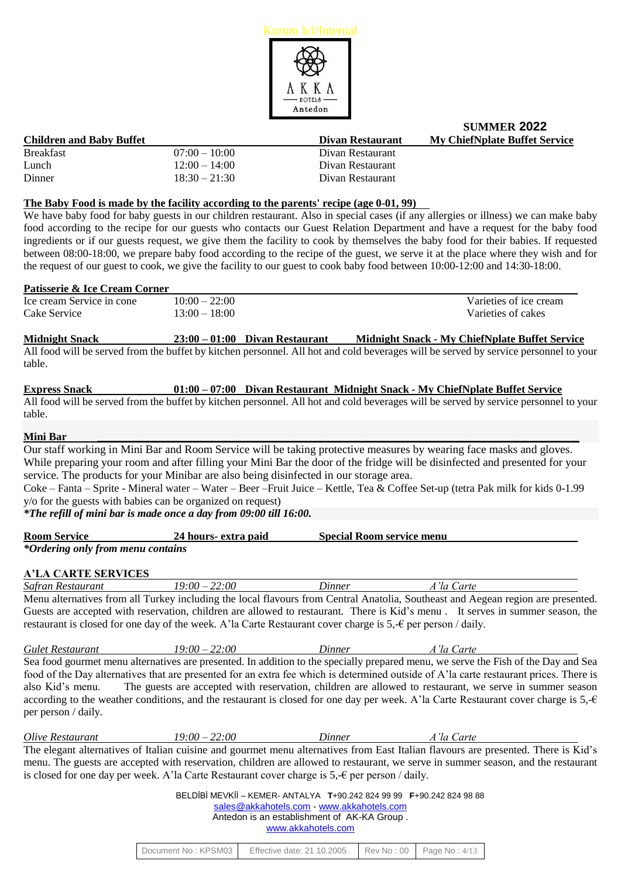

| <b>Children and Baby Buffet</b> |                 | Divan Restaurant | <b>My ChiefNplate Buffet Service</b> |
|---------------------------------|-----------------|------------------|--------------------------------------|
| <b>Breakfast</b>                | $07:00-10:00$   | Divan Restaurant |                                      |
| Lunch                           | $12:00 - 14:00$ | Divan Restaurant |                                      |
| Dinner                          | $18:30 - 21:30$ | Divan Restaurant |                                      |

#### **The Baby Food is made by the facility according to the parents' recipe (age 0-01, 99)**

We have baby food for baby guests in our children restaurant. Also in special cases (if any allergies or illness) we can make baby food according to the recipe for our guests who contacts our Guest Relation Department and have a request for the baby food ingredients or if our guests request, we give them the facility to cook by themselves the baby food for their babies. If requested between 08:00-18:00, we prepare baby food according to the recipe of the guest, we serve it at the place where they wish and for the request of our guest to cook, we give the facility to our guest to cook baby food between 10:00-12:00 and 14:30-18:00.

#### **Patisserie & Ice Cream Corner**

| Ice cream Service in cone | $10:00 - 22:00$ | Varieties of ice cream |
|---------------------------|-----------------|------------------------|
| Cake Service              | $13:00 - 18:00$ | Varieties of cakes     |

**Midnight Snack 23:00 – 01:00 Divan Restaurant Midnight Snack - My ChiefNplate Buffet Service** All food will be served from the buffet by kitchen personnel. All hot and cold beverages will be served by service personnel to your table.

| <b>Express Snack</b> |  | $01:00 - 07:00$ Divan Restaurant Midnight Snack - My ChiefNplate Buffet Service                                                      |
|----------------------|--|--------------------------------------------------------------------------------------------------------------------------------------|
|                      |  | All food will be served from the buffet by kitchen personnel. All hot and cold beverages will be served by service personnel to your |
| table.               |  |                                                                                                                                      |

# **Mini Bar \_\_\_\_\_\_\_\_\_\_\_\_\_\_\_\_\_\_\_\_\_\_\_\_\_\_\_\_\_\_\_\_\_\_\_\_\_\_\_\_\_\_\_\_\_\_\_\_\_\_\_\_\_\_\_\_\_\_\_\_\_\_\_\_\_\_\_\_\_\_\_\_\_\_\_\_\_\_\_\_\_\_\_\_\_\_\_\_**

Our staff working in Mini Bar and Room Service will be taking protective measures by wearing face masks and gloves. While preparing your room and after filling your Mini Bar the door of the fridge will be disinfected and presented for your service. The products for your Minibar are also being disinfected in our storage area.

Coke – Fanta – Sprite - Mineral water – Water – Beer –Fruit Juice – Kettle, Tea & Coffee Set-up (tetra Pak milk for kids 0-1.99 y/o for the guests with babies can be organized on request)

# *\*The refill of mini bar is made once a day from 09:00 till 16:00.*

| <b>Room Service</b>               | 24 hours- extra paid | <b>Special Room service menu</b> |
|-----------------------------------|----------------------|----------------------------------|
| *Ordering only from menu contains |                      |                                  |

# **A'LA CARTE SERVICES**

*Safran Restaurant 19:00 – 22:00 Dinner A'la Carte* Menu alternatives from all Turkey including the local flavours from Central Anatolia, Southeast and Aegean region are presented. Guests are accepted with reservation, children are allowed to restaurant. There is Kid's menu . It serves in summer season, the restaurant is closed for one day of the week. A'la Carte Restaurant cover charge is 5,-€ per person / daily.

*Gulet Restaurant 19:00 – 22:00 Dinner A'la Carte* Sea food gourmet menu alternatives are presented. In addition to the specially prepared menu, we serve the Fish of the Day and Sea food of the Day alternatives that are presented for an extra fee which is determined outside of A'la carte restaurant prices. There is also Kid's menu. The guests are accepted with reservation, children are allowed to restaurant, we serve in summer season according to the weather conditions, and the restaurant is closed for one day per week. A'la Carte Restaurant cover charge is  $5, -6$ per person / daily.

*Olive Restaurant 19:00 – 22:00 Dinner A'la Carte* The elegant alternatives of Italian cuisine and gourmet menu alternatives from East Italian flavours are presented. There is Kid's menu. The guests are accepted with reservation, children are allowed to restaurant, we serve in summer season, and the restaurant is closed for one day per week. A'la Carte Restaurant cover charge is  $5,-\epsilon$  per person / daily.

| Document No: KPSM03 | Effective date: 21.10.2005 |  | Rev No: 00   Page No: 4/13 |
|---------------------|----------------------------|--|----------------------------|
|---------------------|----------------------------|--|----------------------------|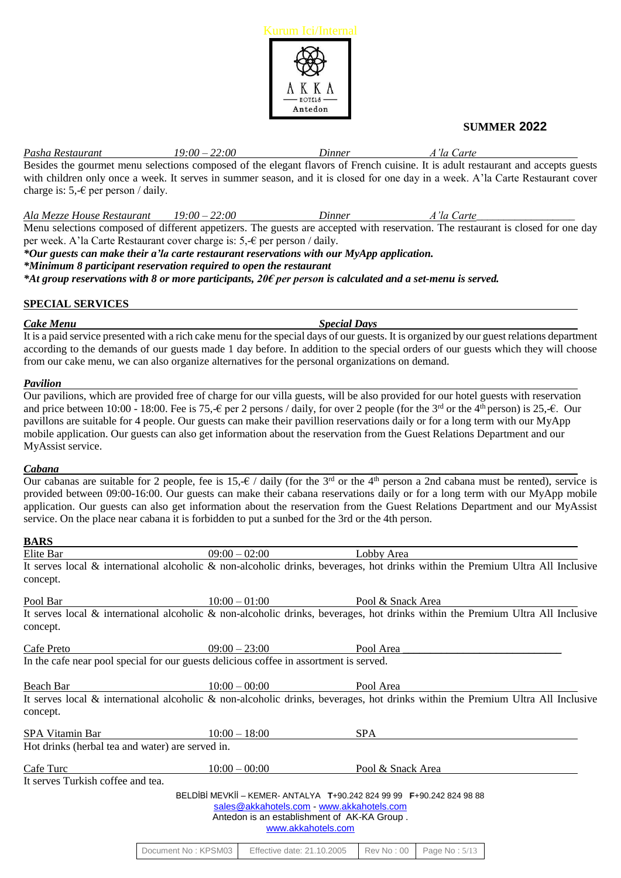

*Pasha Restaurant 19:00 – 22:00 Dinner A'la Carte* Besides the gourmet menu selections composed of the elegant flavors of French cuisine. It is adult restaurant and accepts guests with children only once a week. It serves in summer season, and it is closed for one day in a week. A'la Carte Restaurant cover charge is:  $5 - \epsilon$  per person / daily.

*Ala Mezze House Restaurant 19:00 – 22:00 Dinner A'la Carte\_\_\_\_\_\_\_\_\_\_\_\_\_\_\_\_\_\_* Menu selections composed of different appetizers. The guests are accepted with reservation. The restaurant is closed for one day

per week. A'la Carte Restaurant cover charge is: 5, € per person / daily.

*\*Our guests can make their a'la carte restaurant reservations with our MyApp application.*

*\*Minimum 8 participant reservation required to open the restaurant*

*\*At group reservations with 8 or more participants, 20€ per person is calculated and a set-menu is served.*

# **SPECIAL SERVICES**

*Cake Menu Special Days*

It is a paid service presented with a rich cake menu for the special days of our guests. It is organized by our guest relations department according to the demands of our guests made 1 day before. In addition to the special orders of our guests which they will choose from our cake menu, we can also organize alternatives for the personal organizations on demand.

# *Pavilion*

Our pavilions, which are provided free of charge for our villa guests, will be also provided for our hotel guests with reservation and price between 10:00 - 18:00. Fee is 75,- $\epsilon$  per 2 persons / daily, for over 2 people (for the 3<sup>rd</sup> or the 4<sup>th</sup> person) is 25,- $\epsilon$ . Our pavillons are suitable for 4 people. Our guests can make their pavillion reservations daily or for a long term with our MyApp mobile application. Our guests can also get information about the reservation from the Guest Relations Department and our MyAssist service.

# *Cabana*

Our cabanas are suitable for 2 people, fee is 15,- $\epsilon$  / daily (for the 3<sup>rd</sup> or the 4<sup>th</sup> person a 2nd cabana must be rented), service is provided between 09:00-16:00. Our guests can make their cabana reservations daily or for a long term with our MyApp mobile application. Our guests can also get information about the reservation from the Guest Relations Department and our MyAssist service. On the place near cabana it is forbidden to put a sunbed for the 3rd or the 4th person.

# **BARS**

| Elite Bar                                                                                                                                        | $09:00 - 02:00$            | Lobby Area                                                                                                                                                                             |               |  |
|--------------------------------------------------------------------------------------------------------------------------------------------------|----------------------------|----------------------------------------------------------------------------------------------------------------------------------------------------------------------------------------|---------------|--|
| It serves local $\&$ international alcoholic $\&$ non-alcoholic drinks, beverages, hot drinks within the Premium Ultra All Inclusive<br>concept. |                            |                                                                                                                                                                                        |               |  |
| Pool Bar                                                                                                                                         | $10:00 - 01:00$            | Pool & Snack Area                                                                                                                                                                      |               |  |
| It serves local $\&$ international alcoholic $\&$ non-alcoholic drinks, beverages, hot drinks within the Premium Ultra All Inclusive<br>concept. |                            |                                                                                                                                                                                        |               |  |
| Cafe Preto                                                                                                                                       | $09:00 - 23:00$            | Pool Area                                                                                                                                                                              |               |  |
| In the cafe near pool special for our guests delicious coffee in assortment is served.                                                           |                            |                                                                                                                                                                                        |               |  |
| Beach Bar                                                                                                                                        | $10:00 - 00:00$            | Pool Area                                                                                                                                                                              |               |  |
| It serves local & international alcoholic & non-alcoholic drinks, beverages, hot drinks within the Premium Ultra All Inclusive<br>concept.       |                            |                                                                                                                                                                                        |               |  |
| SPA Vitamin Bar                                                                                                                                  | $10:00 - 18:00$            | <b>SPA</b>                                                                                                                                                                             |               |  |
| Hot drinks (herbal tea and water) are served in.                                                                                                 |                            |                                                                                                                                                                                        |               |  |
| Cafe Turc                                                                                                                                        | $10:00 - 00:00$            | Pool & Snack Area                                                                                                                                                                      |               |  |
| It serves Turkish coffee and tea.                                                                                                                |                            |                                                                                                                                                                                        |               |  |
|                                                                                                                                                  |                            | BELDIBI MEVKII - KEMER-ANTALYA T+90.242 824 99 99 F+90.242 824 98 88<br>sales@akkahotels.com - www.akkahotels.com<br>Antedon is an establishment of AK-KA Group.<br>www.akkahotels.com |               |  |
| Document No: KPSM03                                                                                                                              | Effective date: 21.10.2005 | <b>Rev No: 00</b>                                                                                                                                                                      | Page No: 5/13 |  |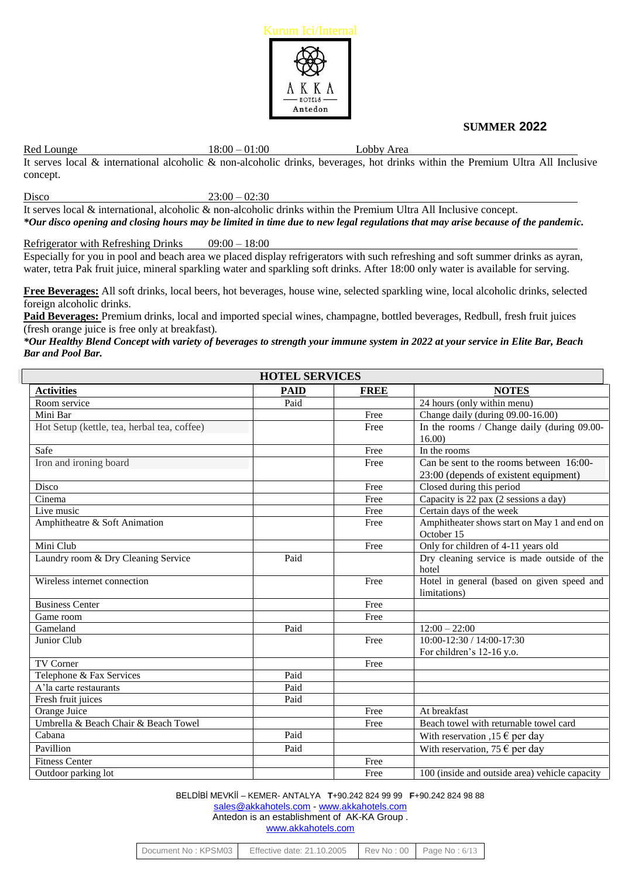

Red Lounge 18:00 – 01:00 Lobby Area

It serves local & international alcoholic & non-alcoholic drinks, beverages, hot drinks within the Premium Ultra All Inclusive concept.

Disco  $23:00 - 02:30$ 

It serves local & international, alcoholic & non-alcoholic drinks within the Premium Ultra All Inclusive concept. *\*Our disco opening and closing hours may be limited in time due to new legal regulations that may arise because of the pandemic.*

Refrigerator with Refreshing Drinks 09:00 – 18:00

Especially for you in pool and beach area we placed display refrigerators with such refreshing and soft summer drinks as ayran, water, tetra Pak fruit juice, mineral sparkling water and sparkling soft drinks. After 18:00 only water is available for serving.

**Free Beverages:** All soft drinks, local beers, hot beverages, house wine, selected sparkling wine, local alcoholic drinks, selected foreign alcoholic drinks.

**Paid Beverages:** Premium drinks, local and imported special wines, champagne, bottled beverages, Redbull, fresh fruit juices (fresh orange juice is free only at breakfast)*.*

*\*Our Healthy Blend Concept with variety of beverages to strength your immune system in 2022 at your service in Elite Bar, Beach Bar and Pool Bar.*

| <b>HOTEL SERVICES</b>                       |             |             |                                                |  |
|---------------------------------------------|-------------|-------------|------------------------------------------------|--|
| <b>Activities</b>                           | <b>PAID</b> | <b>FREE</b> | <b>NOTES</b>                                   |  |
| Room service                                | Paid        |             | 24 hours (only within menu)                    |  |
| Mini Bar                                    |             | Free        | Change daily (during 09.00-16.00)              |  |
| Hot Setup (kettle, tea, herbal tea, coffee) |             | Free        | In the rooms / Change daily (during 09.00-     |  |
|                                             |             |             | 16.00                                          |  |
| Safe                                        |             | Free        | In the rooms                                   |  |
| Iron and ironing board                      |             | Free        | Can be sent to the rooms between 16:00-        |  |
|                                             |             |             | 23:00 (depends of existent equipment)          |  |
| Disco                                       |             | Free        | Closed during this period                      |  |
| Cinema                                      |             | Free        | Capacity is 22 pax (2 sessions a day)          |  |
| Live music                                  |             | Free        | Certain days of the week                       |  |
| Amphitheatre & Soft Animation               |             | Free        | Amphitheater shows start on May 1 and end on   |  |
|                                             |             |             | October 15                                     |  |
| Mini Club                                   |             | Free        | Only for children of 4-11 years old            |  |
| Laundry room & Dry Cleaning Service         | Paid        |             | Dry cleaning service is made outside of the    |  |
|                                             |             |             | hotel                                          |  |
| Wireless internet connection                |             | Free        | Hotel in general (based on given speed and     |  |
|                                             |             |             | limitations)                                   |  |
| <b>Business Center</b>                      |             | Free        |                                                |  |
| Game room                                   |             | Free        |                                                |  |
| Gameland                                    | Paid        |             | $12:00 - 22:00$                                |  |
| Junior Club                                 |             | Free        | $10:00 - 12:30 / 14:00 - 17:30$                |  |
|                                             |             |             | For children's 12-16 y.o.                      |  |
| <b>TV Corner</b>                            |             | Free        |                                                |  |
| Telephone & Fax Services                    | Paid        |             |                                                |  |
| A'la carte restaurants                      | Paid        |             |                                                |  |
| Fresh fruit juices                          | Paid        |             |                                                |  |
| Orange Juice                                |             | Free        | At breakfast                                   |  |
| Umbrella & Beach Chair & Beach Towel        |             | Free        | Beach towel with returnable towel card         |  |
| Cabana                                      | Paid        |             | With reservation ,15 $\epsilon$ per day        |  |
| Pavillion                                   | Paid        |             | With reservation, 75 $\epsilon$ per day        |  |
| <b>Fitness Center</b>                       |             | Free        |                                                |  |
| Outdoor parking lot                         |             | Free        | 100 (inside and outside area) vehicle capacity |  |

| Document No: KPSM03 | Effective date: 21.10.2005 |  | $\blacksquare$ Rev No : 00 $\blacksquare$ Page No : 6/13 |
|---------------------|----------------------------|--|----------------------------------------------------------|
|---------------------|----------------------------|--|----------------------------------------------------------|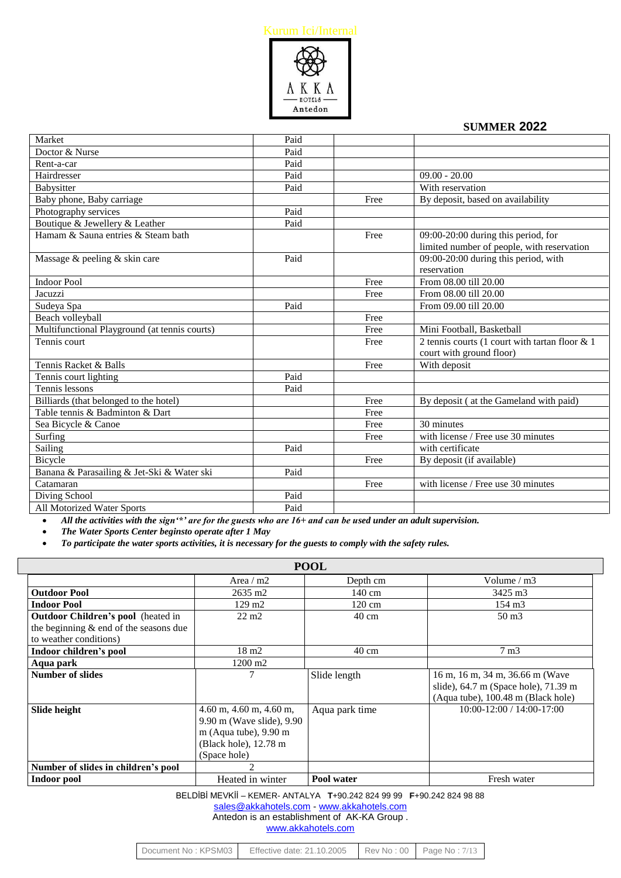

| Market                                        | Paid |      |                                                   |
|-----------------------------------------------|------|------|---------------------------------------------------|
| Doctor & Nurse                                | Paid |      |                                                   |
| Rent-a-car                                    | Paid |      |                                                   |
| Hairdresser                                   | Paid |      | $09.00 - 20.00$                                   |
| Babysitter                                    | Paid |      | With reservation                                  |
| Baby phone, Baby carriage                     |      | Free | By deposit, based on availability                 |
| Photography services                          | Paid |      |                                                   |
| Boutique & Jewellery & Leather                | Paid |      |                                                   |
| Hamam & Sauna entries & Steam bath            |      | Free | 09:00-20:00 during this period, for               |
|                                               |      |      | limited number of people, with reservation        |
| Massage & peeling & skin care                 | Paid |      | 09:00-20:00 during this period, with              |
|                                               |      |      | reservation                                       |
| <b>Indoor Pool</b>                            |      | Free | From 08.00 till 20.00                             |
| Jacuzzi                                       |      | Free | From 08.00 till 20.00                             |
| Sudeya Spa                                    | Paid |      | From 09.00 till 20.00                             |
| Beach volleyball                              |      | Free |                                                   |
| Multifunctional Playground (at tennis courts) |      | Free | Mini Football, Basketball                         |
| Tennis court                                  |      | Free | 2 tennis courts (1 court with tartan floor $\&$ 1 |
|                                               |      |      | court with ground floor)                          |
| Tennis Racket & Balls                         |      | Free | With deposit                                      |
| Tennis court lighting                         | Paid |      |                                                   |
| Tennis lessons                                | Paid |      |                                                   |
| Billiards (that belonged to the hotel)        |      | Free | By deposit (at the Gameland with paid)            |
| Table tennis & Badminton & Dart               |      | Free |                                                   |
| Sea Bicycle & Canoe                           |      | Free | 30 minutes                                        |
| Surfing                                       |      | Free | with license / Free use 30 minutes                |
| Sailing                                       | Paid |      | with certificate                                  |
| Bicycle                                       |      | Free | By deposit (if available)                         |
| Banana & Parasailing & Jet-Ski & Water ski    | Paid |      |                                                   |
| Catamaran                                     |      | Free | with license / Free use 30 minutes                |
| Diving School                                 | Paid |      |                                                   |
| All Motorized Water Sports                    | Paid |      |                                                   |

*All the activities with the sign'\*' are for the guests who are 16+ and can be used under an adult supervision.*

*The Water Sports Center beginsto operate after 1 May*

L

*To participate the water sports activities, it is necessary for the guests to comply with the safety rules.*

| <b>POOL</b>                               |                                                                                                                                                                 |                 |                                                                                                                   |  |
|-------------------------------------------|-----------------------------------------------------------------------------------------------------------------------------------------------------------------|-----------------|-------------------------------------------------------------------------------------------------------------------|--|
|                                           | Area $/m2$                                                                                                                                                      | Depth cm        | Volume $/m3$                                                                                                      |  |
| <b>Outdoor Pool</b>                       | 2635 m2                                                                                                                                                         | 140 cm          | 3425 m3                                                                                                           |  |
| <b>Indoor Pool</b>                        | $129 \text{ m}$ 2                                                                                                                                               | 120 cm          | $154 \text{ m}$ 3                                                                                                 |  |
| <b>Outdoor Children's pool</b> (heated in | $22 \text{ m}$                                                                                                                                                  | $40 \text{ cm}$ | $50 \text{ m}$ 3                                                                                                  |  |
| the beginning $&$ end of the seasons due  |                                                                                                                                                                 |                 |                                                                                                                   |  |
| to weather conditions)                    |                                                                                                                                                                 |                 |                                                                                                                   |  |
| Indoor children's pool                    | $18 \text{ m}$                                                                                                                                                  | $40 \text{ cm}$ | $7 \text{ m}$                                                                                                     |  |
| Aqua park                                 | 1200 m2                                                                                                                                                         |                 |                                                                                                                   |  |
| <b>Number of slides</b>                   |                                                                                                                                                                 | Slide length    | 16 m, 16 m, 34 m, 36.66 m (Wave<br>slide), $64.7$ m (Space hole), $71.39$ m<br>(Aqua tube), 100.48 m (Black hole) |  |
| Slide height                              | $4.60$ m, $4.60$ m, $4.60$ m,<br>9.90 m (Wave slide), 9.90<br>m (Aqua tube), $9.90 \text{ m}$<br>(Black hole), 12.78 m<br>(Space hole)                          | Aqua park time  | $10:00 - 12:00 / 14:00 - 17:00$                                                                                   |  |
| Number of slides in children's pool       | $\mathcal{D}_{\mathcal{L}}^{\mathcal{L}}(\mathcal{L})=\mathcal{L}_{\mathcal{L}}^{\mathcal{L}}(\mathcal{L})\mathcal{L}_{\mathcal{L}}^{\mathcal{L}}(\mathcal{L})$ |                 |                                                                                                                   |  |
| Indoor pool                               | Heated in winter                                                                                                                                                | Pool water      | Fresh water                                                                                                       |  |

BELDİBİ MEVKİİ – KEMER- ANTALYA **T**+90.242 824 99 99 **F**+90.242 824 98 88

[sales@akkahotels.com](mailto:sales@akkahotels.com) - [www.akkahotels.com](http://www.akkahotels.com/)

Antedon is an establishment of AK-KA Group . [www.akkahotels.com](http://www.akkahotels.com/)

| Document No: KPSM03 | Effective date: 21.10.2005 | Rev No: 00   Page No: 7/13 |
|---------------------|----------------------------|----------------------------|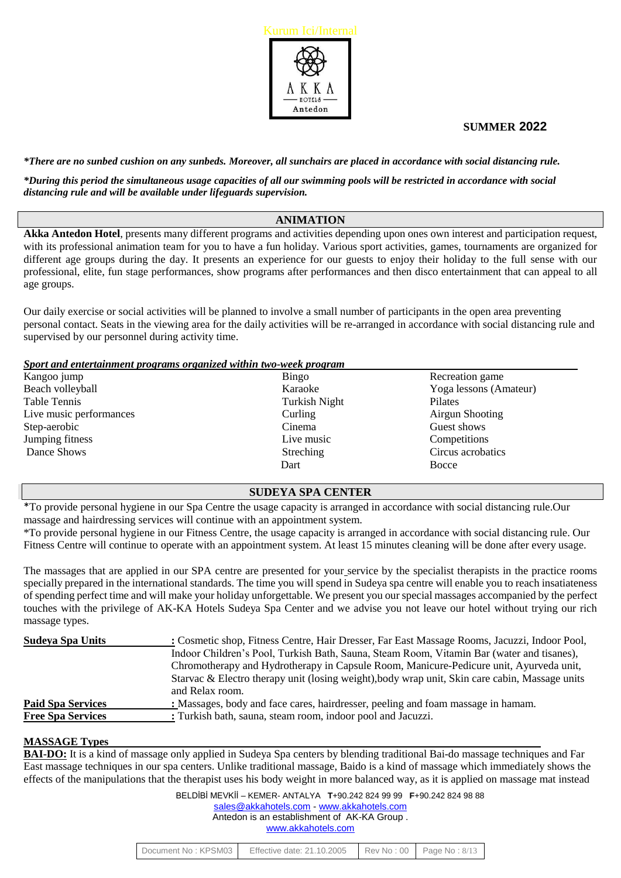

#### *\*There are no sunbed cushion on any sunbeds. Moreover, all sunchairs are placed in accordance with social distancing rule.*

*\*During this period the simultaneous usage capacities of all our swimming pools will be restricted in accordance with social distancing rule and will be available under lifeguards supervision.*

# **ANIMATION**

**Akka Antedon Hotel**, presents many different programs and activities depending upon ones own interest and participation request, with its professional animation team for you to have a fun holiday. Various sport activities, games, tournaments are organized for different age groups during the day. It presents an experience for our guests to enjoy their holiday to the full sense with our professional, elite, fun stage performances, show programs after performances and then disco entertainment that can appeal to all age groups.

Our daily exercise or social activities will be planned to involve a small number of participants in the open area preventing personal contact. Seats in the viewing area for the daily activities will be re-arranged in accordance with social distancing rule and supervised by our personnel during activity time.

*Sport and entertainment programs organized within two-week program* 

| Kangoo jump             | Bingo         | Recreation game        |
|-------------------------|---------------|------------------------|
| Beach volleyball        | Karaoke       | Yoga lessons (Amateur) |
| Table Tennis            | Turkish Night | Pilates                |
| Live music performances | Curling       | Airgun Shooting        |
| Step-aerobic            | Cinema        | Guest shows            |
| Jumping fitness         | Live music    | Competitions           |
| Dance Shows             | Streching     | Circus acrobatics      |
|                         | Dart          | Bocce                  |

# **SUDEYA SPA CENTER**

\*To provide personal hygiene in our Spa Centre the usage capacity is arranged in accordance with social distancing rule.Our massage and hairdressing services will continue with an appointment system.

\*To provide personal hygiene in our Fitness Centre, the usage capacity is arranged in accordance with social distancing rule. Our Fitness Centre will continue to operate with an appointment system. At least 15 minutes cleaning will be done after every usage.

The massages that are applied in our SPA centre are presented for your service by the specialist therapists in the practice rooms specially prepared in the international standards. The time you will spend in Sudeya spa centre will enable you to reach insatiateness of spending perfect time and will make your holiday unforgettable. We present you our special massages accompanied by the perfect touches with the privilege of AK-KA Hotels Sudeya Spa Center and we advise you not leave our hotel without trying our rich massage types.

| Sudeya Spa Units         | : Cosmetic shop, Fitness Centre, Hair Dresser, Far East Massage Rooms, Jacuzzi, Indoor Pool,   |
|--------------------------|------------------------------------------------------------------------------------------------|
|                          | Indoor Children's Pool, Turkish Bath, Sauna, Steam Room, Vitamin Bar (water and tisanes),      |
|                          | Chromotherapy and Hydrotherapy in Capsule Room, Manicure-Pedicure unit, Ayurveda unit,         |
|                          | Starvac & Electro therapy unit (losing weight), body wrap unit, Skin care cabin, Massage units |
|                          | and Relax room.                                                                                |
| <b>Paid Spa Services</b> | : Massages, body and face cares, hairdresser, peeling and foam massage in hamam.               |
| <b>Free Spa Services</b> | : Turkish bath, sauna, steam room, indoor pool and Jacuzzi.                                    |

#### **MASSAGE Types**

**BAI-DO:** It is a kind of massage only applied in Sudeya Spa centers by blending traditional Bai-do massage techniques and Far East massage techniques in our spa centers. Unlike traditional massage, Baido is a kind of massage which immediately shows the effects of the manipulations that the therapist uses his body weight in more balanced way, as it is applied on massage mat instead

| Effective date: 21.10.2005<br>Document No: KPSM03 |  | $\blacktriangleright$ Rev No : 00 $\blacktriangleright$ Page No : 8/13 |
|---------------------------------------------------|--|------------------------------------------------------------------------|
|---------------------------------------------------|--|------------------------------------------------------------------------|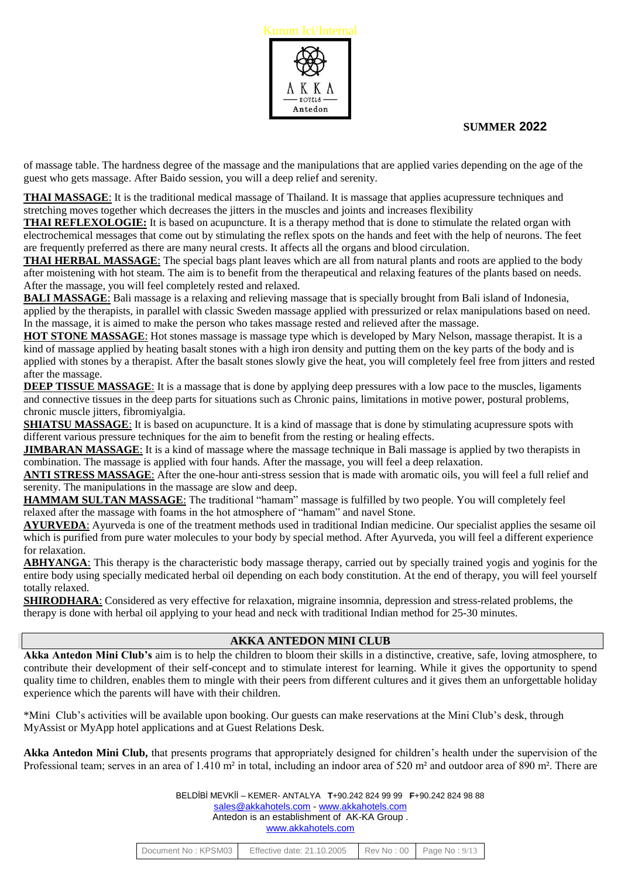

of massage table. The hardness degree of the massage and the manipulations that are applied varies depending on the age of the guest who gets massage. After Baido session, you will a deep relief and serenity.

**THAI MASSAGE**: It is the traditional medical massage of Thailand. It is massage that applies acupressure techniques and stretching moves together which decreases the jitters in the muscles and joints and increases flexibility

**THAI REFLEXOLOGIE:** It is based on acupuncture. It is a therapy method that is done to stimulate the related organ with electrochemical messages that come out by stimulating the reflex spots on the hands and feet with the help of neurons. The feet are frequently preferred as there are many neural crests. It affects all the organs and blood circulation.

**THAI HERBAL MASSAGE**: The special bags plant leaves which are all from natural plants and roots are applied to the body after moistening with hot steam. The aim is to benefit from the therapeutical and relaxing features of the plants based on needs. After the massage, you will feel completely rested and relaxed.

**BALI MASSAGE:** Bali massage is a relaxing and relieving massage that is specially brought from Bali island of Indonesia, applied by the therapists, in parallel with classic Sweden massage applied with pressurized or relax manipulations based on need. In the massage, it is aimed to make the person who takes massage rested and relieved after the massage.

**HOT STONE MASSAGE**: Hot stones massage is massage type which is developed by Mary Nelson, massage therapist. It is a kind of massage applied by heating basalt stones with a high iron density and putting them on the key parts of the body and is applied with stones by a therapist. After the basalt stones slowly give the heat, you will completely feel free from jitters and rested after the massage.

**DEEP TISSUE MASSAGE:** It is a massage that is done by applying deep pressures with a low pace to the muscles, ligaments and connective tissues in the deep parts for situations such as Chronic pains, limitations in motive power, postural problems, chronic muscle jitters, fibromiyalgia.

**SHIATSU MASSAGE:** It is based on acupuncture. It is a kind of massage that is done by stimulating acupressure spots with different various pressure techniques for the aim to benefit from the resting or healing effects.

**JIMBARAN MASSAGE**: It is a kind of massage where the massage technique in Bali massage is applied by two therapists in combination. The massage is applied with four hands. After the massage, you will feel a deep relaxation.

**ANTI STRESS MASSAGE**: After the one-hour anti-stress session that is made with aromatic oils, you will feel a full relief and serenity. The manipulations in the massage are slow and deep.

**HAMMAM SULTAN MASSAGE**: The traditional "hamam" massage is fulfilled by two people. You will completely feel relaxed after the massage with foams in the hot atmosphere of "hamam" and navel Stone.

**AYURVEDA**: Ayurveda is one of the treatment methods used in traditional Indian medicine. Our specialist applies the sesame oil which is purified from pure water molecules to your body by special method. After Ayurveda, you will feel a different experience for relaxation.

**ABHYANGA**: This therapy is the characteristic body massage therapy, carried out by specially trained yogis and yoginis for the entire body using specially medicated herbal oil depending on each body constitution. At the end of therapy, you will feel yourself totally relaxed.

**SHIRODHARA**: Considered as very effective for relaxation, migraine insomnia, depression and stress-related problems, the therapy is done with herbal oil applying to your head and neck with traditional Indian method for 25-30 minutes.

# **AKKA ANTEDON MINI CLUB**

**Akka Antedon Mini Club's** aim is to help the children to bloom their skills in a distinctive, creative, safe, loving atmosphere, to contribute their development of their self-concept and to stimulate interest for learning. While it gives the opportunity to spend quality time to children, enables them to mingle with their peers from different cultures and it gives them an unforgettable holiday experience which the parents will have with their children.

\*Mini Club's activities will be available upon booking. Our guests can make reservations at the Mini Club's desk, through MyAssist or MyApp hotel applications and at Guest Relations Desk.

**Akka Antedon Mini Club,** that presents programs that appropriately designed for children's health under the supervision of the Professional team; serves in an area of 1.410 m<sup>2</sup> in total, including an indoor area of 520 m<sup>2</sup> and outdoor area of 890 m<sup>2</sup>. There are

| Document No: KPSM03 | Effective date: 21.10.2005 Rev No: 00 Page No: 9/13 |  |  |
|---------------------|-----------------------------------------------------|--|--|
|---------------------|-----------------------------------------------------|--|--|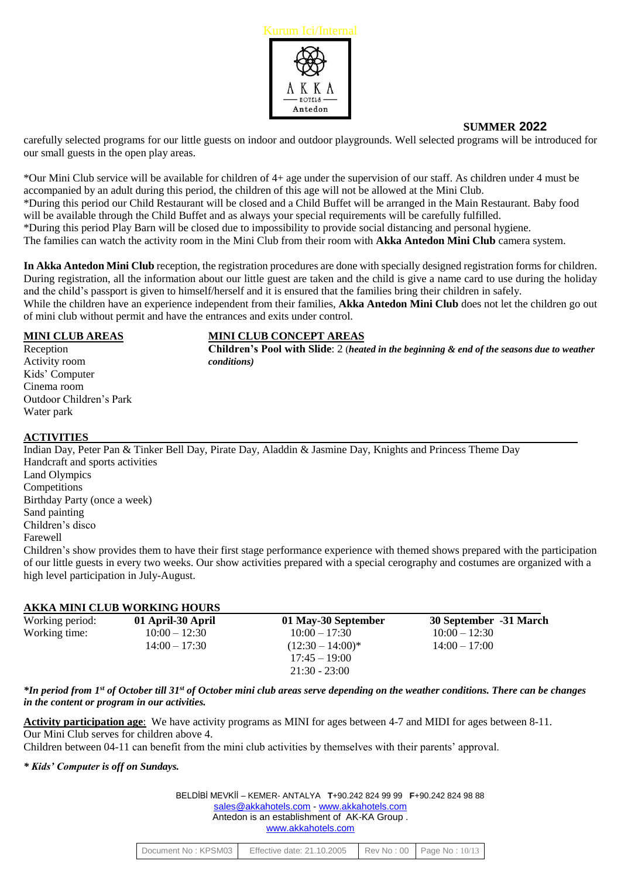

carefully selected programs for our little guests on indoor and outdoor playgrounds. Well selected programs will be introduced for our small guests in the open play areas.

\*Our Mini Club service will be available for children of 4+ age under the supervision of our staff. As children under 4 must be accompanied by an adult during this period, the children of this age will not be allowed at the Mini Club. \*During this period our Child Restaurant will be closed and a Child Buffet will be arranged in the Main Restaurant. Baby food will be available through the Child Buffet and as always your special requirements will be carefully fulfilled. \*During this period Play Barn will be closed due to impossibility to provide social distancing and personal hygiene. The families can watch the activity room in the Mini Club from their room with **Akka Antedon Mini Club** camera system.

**In Akka Antedon Mini Club** reception, the registration procedures are done with specially designed registration forms for children. During registration, all the information about our little guest are taken and the child is give a name card to use during the holiday and the child's passport is given to himself/herself and it is ensured that the families bring their children in safely. While the children have an experience independent from their families, **Akka Antedon Mini Club** does not let the children go out of mini club without permit and have the entrances and exits under control.

Activity room *conditions)* Kids' Computer Cinema room Outdoor Children's Park Water park

# **MINI CLUB AREAS MINI CLUB CONCEPT AREAS**

Reception **Children's Pool with Slide**: 2 (*heated in the beginning & end of the seasons due to weather*

# **ACTIVITIES**

Indian Day, Peter Pan & Tinker Bell Day, Pirate Day, Aladdin & Jasmine Day, Knights and Princess Theme Day Handcraft and sports activities Land Olympics **Competitions** Birthday Party (once a week) Sand painting Children's disco Farewell Children's show provides them to have their first stage performance experience with themed shows prepared with the participation

of our little guests in every two weeks. Our show activities prepared with a special cerography and costumes are organized with a high level participation in July-August.

#### **AKKA MINI CLUB WORKING HOURS**

| Working period: | 01 April-30 April | 01 May-30 September                    | 30 September -31 March |
|-----------------|-------------------|----------------------------------------|------------------------|
| Working time:   | $10:00 - 12:30$   | $10:00 - 17:30$                        | $10:00 - 12:30$        |
|                 | $14:00 - 17:30$   | $(12:30 - 14:00)^*$<br>$17:45 - 19:00$ | $14:00 - 17:00$        |
|                 |                   | $21:30 - 23:00$                        |                        |

*\*In period from 1 st of October till 31 st of October mini club areas serve depending on the weather conditions. There can be changes in the content or program in our activities.*

**Activity participation age**: We have activity programs as MINI for ages between 4-7 and MIDI for ages between 8-11. Our Mini Club serves for children above 4.

Children between 04-11 can benefit from the mini club activities by themselves with their parents' approval.

#### *\* Kids' Computer is off on Sundays.*

| BELDIBI MEVKII - KEMER-ANTALYA T+90.242 824 99 99 F+90.242 824 98 88 |
|----------------------------------------------------------------------|
| sales@akkahotels.com - www.akkahotels.com                            |
| Antedon is an establishment of AK-KA Group.                          |
| www.akkahotels.com                                                   |

| Document No: KPSM03 | Effective date: 21.10.2005 Rev No: 00 Page No: 10/13 |  |  |
|---------------------|------------------------------------------------------|--|--|
|---------------------|------------------------------------------------------|--|--|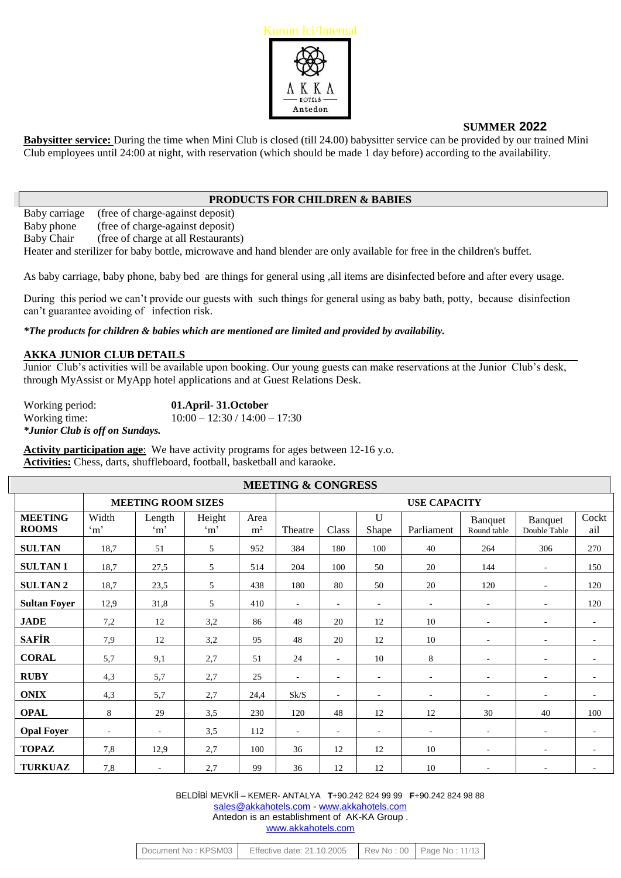

**Babysitter service:** During the time when Mini Club is closed (till 24.00) babysitter service can be provided by our trained Mini Club employees until 24:00 at night, with reservation (which should be made 1 day before) according to the availability.

# **PRODUCTS FOR CHILDREN & BABIES**

Baby carriage (free of charge-against deposit) Baby phone (free of charge-against deposit)

Baby Chair (free of charge at all Restaurants)

Heater and sterilizer for baby bottle, microwave and hand blender are only available for free in the children's buffet.

As baby carriage, baby phone, baby bed are things for general using ,all items are disinfected before and after every usage.

During this period we can't provide our guests with such things for general using as baby bath, potty, because disinfection can't guarantee avoiding of infection risk.

*\*The products for children & babies which are mentioned are limited and provided by availability.*

#### **AKKA JUNIOR CLUB DETAILS**

Junior Club's activities will be available upon booking. Our young guests can make reservations at the Junior Club's desk, through MyAssist or MyApp hotel applications and at Guest Relations Desk.

Working period: **01.April- 31.October**  Working time: 10:00 – 12:30 / 14:00 – 17:30 *\*Junior Club is off on Sundays.*

**Activity participation age**: We have activity programs for ages between 12-16 y.o. **Activities:** Chess, darts, shuffleboard, football, basketball and karaoke.

| <b>MEETING &amp; CONGRESS</b>  |                                                  |                          |                      |                        |                          |                          |                          |                          |                          |                          |                          |
|--------------------------------|--------------------------------------------------|--------------------------|----------------------|------------------------|--------------------------|--------------------------|--------------------------|--------------------------|--------------------------|--------------------------|--------------------------|
|                                | <b>MEETING ROOM SIZES</b><br><b>USE CAPACITY</b> |                          |                      |                        |                          |                          |                          |                          |                          |                          |                          |
| <b>MEETING</b><br><b>ROOMS</b> | Width<br>$\cdot_{m}$                             | Length<br>$\cdot$ m'     | Height<br>$\cdot$ m' | Area<br>m <sup>2</sup> | Theatre                  | Class                    | $\mathbf U$<br>Shape     | Parliament               | Banquet<br>Round table   | Banquet<br>Double Table  | Cockt<br>ail             |
| <b>SULTAN</b>                  | 18,7                                             | 51                       | 5                    | 952                    | 384                      | 180                      | 100                      | 40                       | 264                      | 306                      | 270                      |
| <b>SULTAN1</b>                 | 18,7                                             | 27,5                     | 5                    | 514                    | 204                      | 100                      | 50                       | 20                       | 144                      | $\sim$                   | 150                      |
| <b>SULTAN2</b>                 | 18,7                                             | 23,5                     | 5                    | 438                    | 180                      | 80                       | 50                       | 20                       | 120                      |                          | 120                      |
| <b>Sultan Foyer</b>            | 12,9                                             | 31,8                     | 5                    | 410                    | $\omega$                 | ÷.                       | $\overline{\phantom{a}}$ | $\blacksquare$           | $\omega$                 | $\sim$                   | 120                      |
| <b>JADE</b>                    | 7,2                                              | 12                       | 3,2                  | 86                     | 48                       | 20                       | 12                       | 10                       | $\overline{\phantom{a}}$ | $\overline{\phantom{a}}$ | $\overline{\phantom{a}}$ |
| <b>SAFIR</b>                   | 7,9                                              | 12                       | 3,2                  | 95                     | 48                       | 20                       | 12                       | 10                       | ä,                       | $\sim$                   |                          |
| <b>CORAL</b>                   | 5,7                                              | 9,1                      | 2,7                  | 51                     | 24                       | $\blacksquare$           | 10                       | 8                        | $\sim$                   | $\overline{\phantom{a}}$ |                          |
| <b>RUBY</b>                    | 4,3                                              | 5,7                      | 2,7                  | 25                     | $\blacksquare$           | $\overline{\phantom{a}}$ | $\overline{\phantom{a}}$ | $\overline{\phantom{a}}$ | $\sim$                   | $\overline{\phantom{a}}$ | $\overline{\phantom{a}}$ |
| <b>ONIX</b>                    | 4,3                                              | 5,7                      | 2,7                  | 24,4                   | Sk/S                     | $\sim$                   | $\overline{\phantom{a}}$ | $\overline{\phantom{a}}$ | ÷.                       | $\overline{a}$           |                          |
| <b>OPAL</b>                    | 8                                                | 29                       | 3,5                  | 230                    | 120                      | 48                       | 12                       | 12                       | 30                       | 40                       | 100                      |
| <b>Opal Foyer</b>              | $\sim$                                           | $\overline{\phantom{a}}$ | 3,5                  | 112                    | $\overline{\phantom{a}}$ | $\sim$                   | $\overline{\phantom{a}}$ | $\overline{\phantom{a}}$ | $\sim$                   | $\overline{\phantom{a}}$ | $\overline{\phantom{a}}$ |
| <b>TOPAZ</b>                   | 7,8                                              | 12,9                     | 2,7                  | 100                    | 36                       | 12                       | 12                       | 10                       | $\sim$                   | $\sim$                   |                          |
| <b>TURKUAZ</b>                 | 7,8                                              | $\sim$                   | 2,7                  | 99                     | 36                       | 12                       | 12                       | 10                       | ٠                        |                          |                          |

| Document No: KPSM03 | Effective date: 21.10.2005   Rev No: 00   Page No: 11/13 |  |  |
|---------------------|----------------------------------------------------------|--|--|
|---------------------|----------------------------------------------------------|--|--|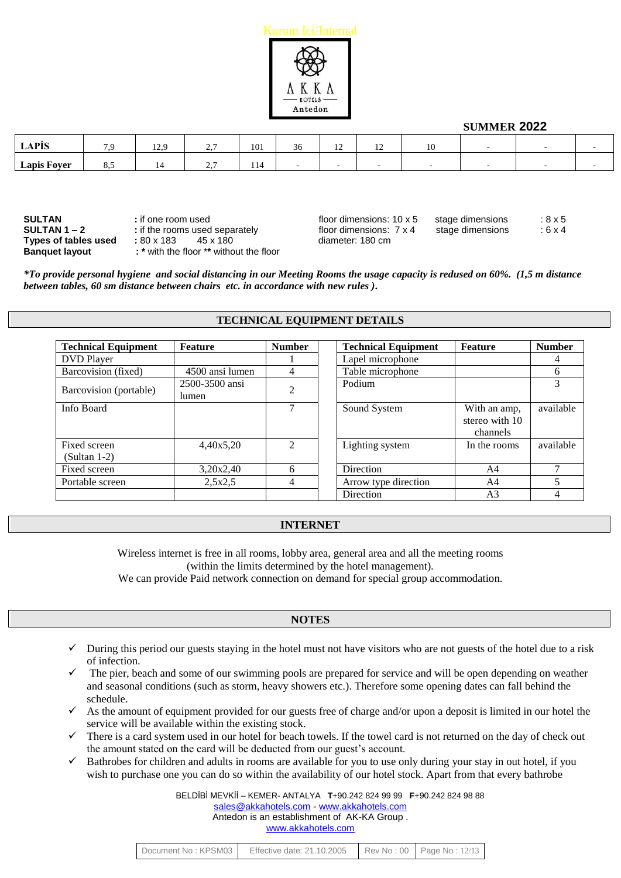

| A DÍC              |   | . .<br>1/2 | $\sim$ $\sim$<br>، مست | 101        | IJυ | $\overline{1}$ | $\overline{1}$ |  |  |
|--------------------|---|------------|------------------------|------------|-----|----------------|----------------|--|--|
| <b>Lapis Foyer</b> | ິ |            | $\sim$ $\sim$<br>، مست | 111<br>114 |     |                |                |  |  |

| SULTAN                | : if one room used                      | floor dimensions: $10 \times 5$ | stage dimensions | : 8 x 5 |
|-----------------------|-----------------------------------------|---------------------------------|------------------|---------|
| SULTAN 1 – 2          | : if the rooms used separately          | floor dimensions: 7 x 4         | stage dimensions | :6 x 4  |
| Types of tables used  | : 80 x 183<br>45 x 180                  | diameter: 180 cm                |                  |         |
| <b>Banquet layout</b> | : * with the floor ** without the floor |                                 |                  |         |

| SULTAN               | : if one room used             | floor dimensions: $10 \times 5$ | stage dimensions | $8\times5$  |
|----------------------|--------------------------------|---------------------------------|------------------|-------------|
| SULTAN 1 – 2         | : if the rooms used separately | floor dimensions: $7 \times 4$  | stage dimensions | $:6\times4$ |
| Types of tables used | : 80 x 183<br>45 x 180         | diameter: 180 cm                |                  |             |

*\*To provide personal hygiene and social distancing in our Meeting Rooms the usage capacity is redused on 60%. (1,5 m distance between tables, 60 sm distance between chairs etc. in accordance with new rules ).*

#### **TECHNICAL EQUIPMENT DETAILS**

| <b>Technical Equipment</b>     | Feature                 | <b>Number</b>  | <b>Technical Equipment</b> | <b>Feature</b>                             | <b>Number</b> |
|--------------------------------|-------------------------|----------------|----------------------------|--------------------------------------------|---------------|
| <b>DVD</b> Player              |                         |                | Lapel microphone           |                                            | 4             |
| Barcovision (fixed)            | 4500 ansi lumen         | 4              | Table microphone           |                                            | 6             |
| Barcovision (portable)         | 2500-3500 ansi<br>lumen | $\overline{c}$ | Podium                     |                                            | 3             |
| Info Board                     |                         | 7              | Sound System               | With an amp,<br>stereo with 10<br>channels | available     |
| Fixed screen<br>$(Sultan 1-2)$ | 4,40x5,20               | $\mathfrak{D}$ | Lighting system            | In the rooms                               | available     |
| Fixed screen                   | 3,20x2,40               | 6              | Direction                  | A4                                         | ⇁             |
| Portable screen                | 2,5x2,5                 | 4              | Arrow type direction       | A4                                         | 5             |
|                                |                         |                | Direction                  | A <sub>3</sub>                             | 4             |

#### **INTERNET**

Wireless internet is free in all rooms, lobby area, general area and all the meeting rooms (within the limits determined by the hotel management).

We can provide Paid network connection on demand for special group accommodation.

#### **NOTES**

- $\checkmark$  During this period our guests staying in the hotel must not have visitors who are not guests of the hotel due to a risk of infection.
- The pier, beach and some of our swimming pools are prepared for service and will be open depending on weather and seasonal conditions (such as storm, heavy showers etc.). Therefore some opening dates can fall behind the schedule.
- $\checkmark$  As the amount of equipment provided for our guests free of charge and/or upon a deposit is limited in our hotel the service will be available within the existing stock.
- $\checkmark$  There is a card system used in our hotel for beach towels. If the towel card is not returned on the day of check out the amount stated on the card will be deducted from our guest's account.
- $\checkmark$  Bathrobes for children and adults in rooms are available for you to use only during your stay in out hotel, if you wish to purchase one you can do so within the availability of our hotel stock. Apart from that every bathrobe

| Document No: KPSM03 | Effective date: 21.10.2005 Rev No: 00 Page No: 12/13 |  |  |
|---------------------|------------------------------------------------------|--|--|
|---------------------|------------------------------------------------------|--|--|